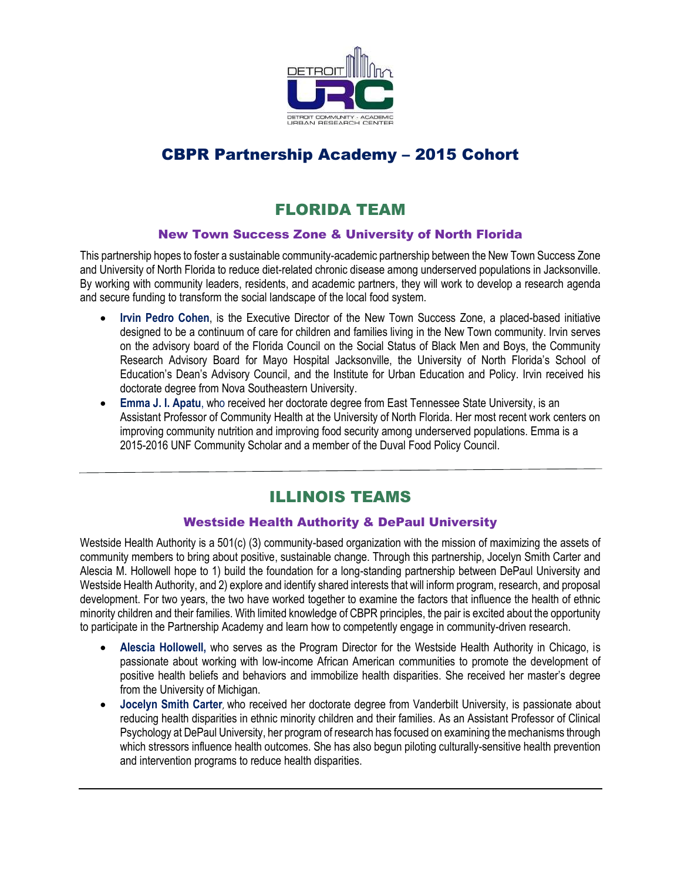

# CBPR Partnership Academy – 2015 Cohort

# FLORIDA TEAM

#### New Town Success Zone & University of North Florida

This partnership hopes to foster a sustainable community-academic partnership between the New Town Success Zone and University of North Florida to reduce diet-related chronic disease among underserved populations in Jacksonville. By working with community leaders, residents, and academic partners, they will work to develop a research agenda and secure funding to transform the social landscape of the local food system.

- **Irvin Pedro Cohen**, is the Executive Director of the New Town Success Zone, a placed-based initiative designed to be a continuum of care for children and families living in the New Town community. Irvin serves on the advisory board of the Florida Council on the Social Status of Black Men and Boys, the Community Research Advisory Board for Mayo Hospital Jacksonville, the University of North Florida's School of Education's Dean's Advisory Council, and the Institute for Urban Education and Policy. Irvin received his doctorate degree from Nova Southeastern University.
- **Emma J. I. Apatu**, who received her doctorate degree from East Tennessee State University, is an Assistant Professor of Community Health at the University of North Florida. Her most recent work centers on improving community nutrition and improving food security among underserved populations. Emma is a 2015-2016 UNF Community Scholar and a member of the Duval Food Policy Council.

## ILLINOIS TEAMS

#### Westside Health Authority & DePaul University

Westside Health Authority is a 501(c) (3) community-based organization with the mission of maximizing the assets of community members to bring about positive, sustainable change. Through this partnership, Jocelyn Smith Carter and Alescia M. Hollowell hope to 1) build the foundation for a long-standing partnership between DePaul University and Westside Health Authority, and 2) explore and identify shared interests that will inform program, research, and proposal development. For two years, the two have worked together to examine the factors that influence the health of ethnic minority children and their families. With limited knowledge of CBPR principles, the pair is excited about the opportunity to participate in the Partnership Academy and learn how to competently engage in community-driven research.

- **Alescia Hollowell,** who serves as the Program Director for the Westside Health Authority in Chicago, is passionate about working with low-income African American communities to promote the development of positive health beliefs and behaviors and immobilize health disparities. She received her master's degree from the University of Michigan.
- **Jocelyn Smith Carter**, who received her doctorate degree from Vanderbilt University, is passionate about reducing health disparities in ethnic minority children and their families. As an Assistant Professor of Clinical Psychology at DePaul University, her program of research has focused on examining the mechanisms through which stressors influence health outcomes. She has also begun piloting culturally-sensitive health prevention and intervention programs to reduce health disparities.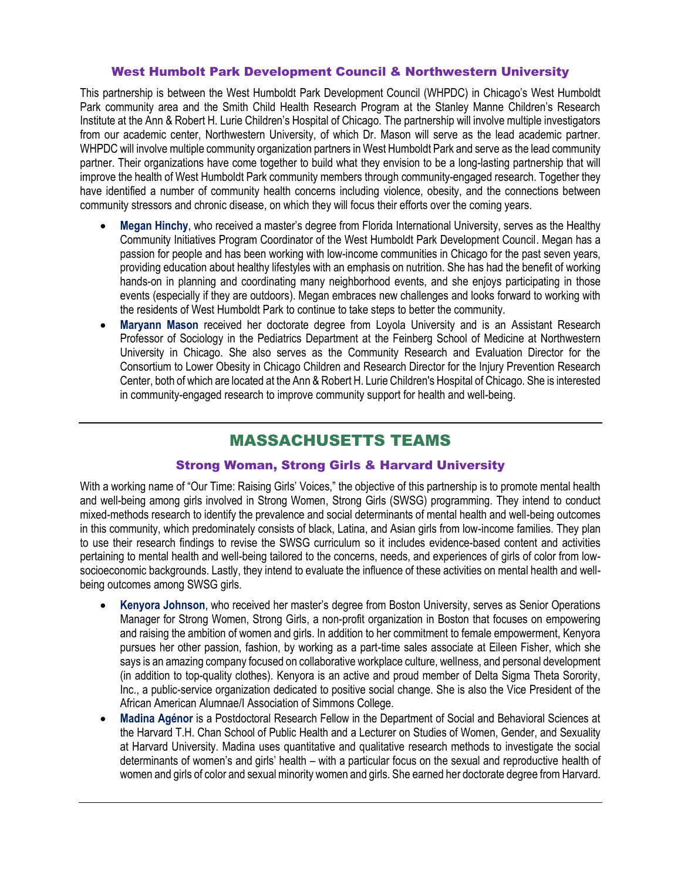#### West Humbolt Park Development Council & Northwestern University

This partnership is between the West Humboldt Park Development Council (WHPDC) in Chicago's West Humboldt Park community area and the Smith Child Health Research Program at the Stanley Manne Children's Research Institute at the Ann & Robert H. Lurie Children's Hospital of Chicago. The partnership will involve multiple investigators from our academic center, Northwestern University, of which Dr. Mason will serve as the lead academic partner. WHPDC will involve multiple community organization partners in West Humboldt Park and serve as the lead community partner. Their organizations have come together to build what they envision to be a long-lasting partnership that will improve the health of West Humboldt Park community members through community-engaged research. Together they have identified a number of community health concerns including violence, obesity, and the connections between community stressors and chronic disease, on which they will focus their efforts over the coming years.

- **Megan Hinchy**, who received a master's degree from Florida International University, serves as the Healthy Community Initiatives Program Coordinator of the West Humboldt Park Development Council. Megan has a passion for people and has been working with low-income communities in Chicago for the past seven years, providing education about healthy lifestyles with an emphasis on nutrition. She has had the benefit of working hands-on in planning and coordinating many neighborhood events, and she enjoys participating in those events (especially if they are outdoors). Megan embraces new challenges and looks forward to working with the residents of West Humboldt Park to continue to take steps to better the community.
- **Maryann Mason** received her doctorate degree from Loyola University and is an Assistant Research Professor of Sociology in the Pediatrics Department at the Feinberg School of Medicine at Northwestern University in Chicago. She also serves as the Community Research and Evaluation Director for the Consortium to Lower Obesity in Chicago Children and Research Director for the Injury Prevention Research Center, both of which are located at the Ann & Robert H. Lurie Children's Hospital of Chicago. She is interested in community-engaged research to improve community support for health and well-being.

## MASSACHUSETTS TEAMS

#### Strong Woman, Strong Girls & Harvard University

With a working name of "Our Time: Raising Girls' Voices," the objective of this partnership is to promote mental health and well-being among girls involved in Strong Women, Strong Girls (SWSG) programming. They intend to conduct mixed-methods research to identify the prevalence and social determinants of mental health and well-being outcomes in this community, which predominately consists of black, Latina, and Asian girls from low-income families. They plan to use their research findings to revise the SWSG curriculum so it includes evidence-based content and activities pertaining to mental health and well-being tailored to the concerns, needs, and experiences of girls of color from lowsocioeconomic backgrounds. Lastly, they intend to evaluate the influence of these activities on mental health and wellbeing outcomes among SWSG girls.

- **Kenyora Johnson**, who received her master's degree from Boston University, serves as Senior Operations Manager for Strong Women, Strong Girls, a non-profit organization in Boston that focuses on empowering and raising the ambition of women and girls. In addition to her commitment to female empowerment, Kenyora pursues her other passion, fashion, by working as a part-time sales associate at Eileen Fisher, which she says is an amazing company focused on collaborative workplace culture, wellness, and personal development (in addition to top-quality clothes). Kenyora is an active and proud member of Delta Sigma Theta Sorority, Inc., a public-service organization dedicated to positive social change. She is also the Vice President of the African American Alumnae/I Association of Simmons College.
- **Madina Agénor** is a Postdoctoral Research Fellow in the Department of Social and Behavioral Sciences at the Harvard T.H. Chan School of Public Health and a Lecturer on Studies of Women, Gender, and Sexuality at Harvard University. Madina uses quantitative and qualitative research methods to investigate the social determinants of women's and girls' health – with a particular focus on the sexual and reproductive health of women and girls of color and sexual minority women and girls. She earned her doctorate degree from Harvard.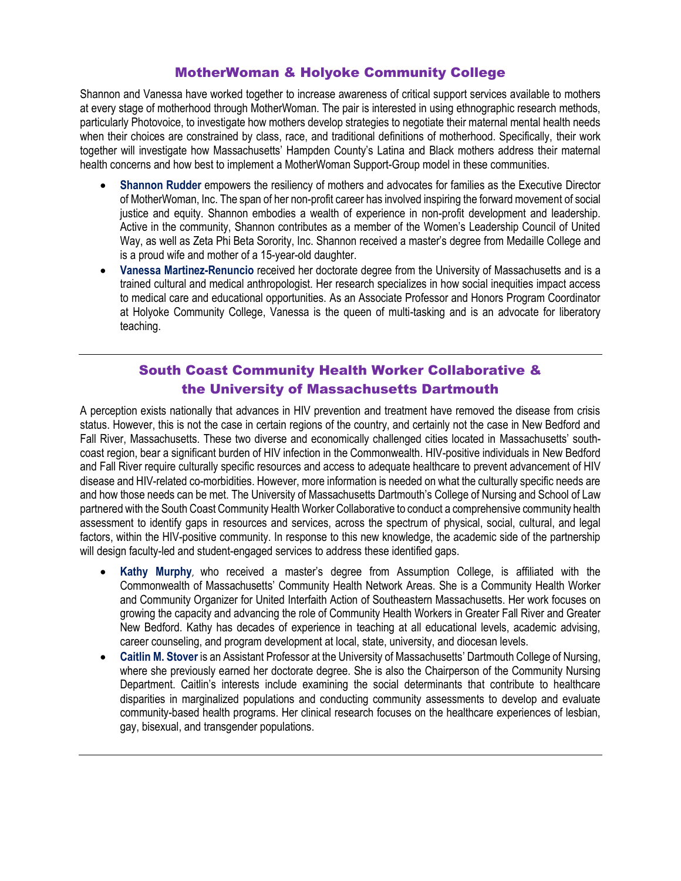### MotherWoman & Holyoke Community College

Shannon and Vanessa have worked together to increase awareness of critical support services available to mothers at every stage of motherhood through MotherWoman. The pair is interested in using ethnographic research methods, particularly Photovoice, to investigate how mothers develop strategies to negotiate their maternal mental health needs when their choices are constrained by class, race, and traditional definitions of motherhood. Specifically, their work together will investigate how Massachusetts' Hampden County's Latina and Black mothers address their maternal health concerns and how best to implement a MotherWoman Support-Group model in these communities.

- **Shannon Rudder** empowers the resiliency of mothers and advocates for families as the Executive Director of MotherWoman, Inc. The span of her non-profit career has involved inspiring the forward movement of social justice and equity. Shannon embodies a wealth of experience in non-profit development and leadership. Active in the community, Shannon contributes as a member of the Women's Leadership Council of United Way, as well as Zeta Phi Beta Sorority, Inc. Shannon received a master's degree from Medaille College and is a proud wife and mother of a 15-year-old daughter.
- **Vanessa Martinez-Renuncio** received her doctorate degree from the University of Massachusetts and is a trained cultural and medical anthropologist. Her research specializes in how social inequities impact access to medical care and educational opportunities. As an Associate Professor and Honors Program Coordinator at Holyoke Community College, Vanessa is the queen of multi-tasking and is an advocate for liberatory teaching.

### South Coast Community Health Worker Collaborative & the University of Massachusetts Dartmouth

A perception exists nationally that advances in HIV prevention and treatment have removed the disease from crisis status. However, this is not the case in certain regions of the country, and certainly not the case in New Bedford and Fall River, Massachusetts. These two diverse and economically challenged cities located in Massachusetts' southcoast region, bear a significant burden of HIV infection in the Commonwealth. HIV-positive individuals in New Bedford and Fall River require culturally specific resources and access to adequate healthcare to prevent advancement of HIV disease and HIV-related co-morbidities. However, more information is needed on what the culturally specific needs are and how those needs can be met. The University of Massachusetts Dartmouth's College of Nursing and School of Law partnered with the South Coast Community Health Worker Collaborative to conduct a comprehensive community health assessment to identify gaps in resources and services, across the spectrum of physical, social, cultural, and legal factors, within the HIV-positive community. In response to this new knowledge, the academic side of the partnership will design faculty-led and student-engaged services to address these identified gaps.

- **Kathy Murphy**, who received a master's degree from Assumption College, is affiliated with the Commonwealth of Massachusetts' Community Health Network Areas. She is a Community Health Worker and Community Organizer for United Interfaith Action of Southeastern Massachusetts. Her work focuses on growing the capacity and advancing the role of Community Health Workers in Greater Fall River and Greater New Bedford. Kathy has decades of experience in teaching at all educational levels, academic advising, career counseling, and program development at local, state, university, and diocesan levels.
- **Caitlin M. Stover** is an Assistant Professor at the University of Massachusetts' Dartmouth College of Nursing, where she previously earned her doctorate degree. She is also the Chairperson of the Community Nursing Department. Caitlin's interests include examining the social determinants that contribute to healthcare disparities in marginalized populations and conducting community assessments to develop and evaluate community-based health programs. Her clinical research focuses on the healthcare experiences of lesbian, gay, bisexual, and transgender populations.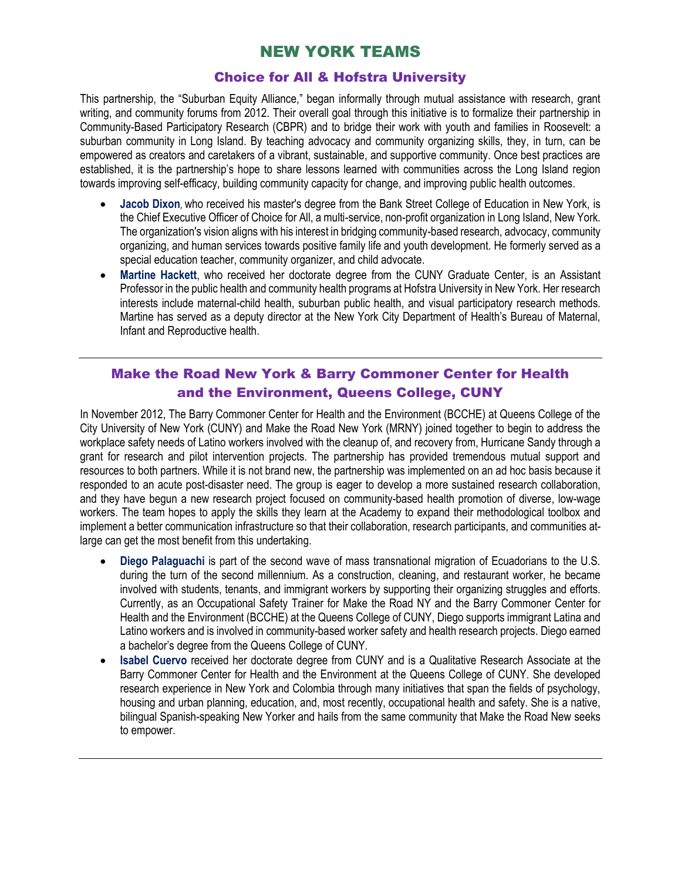## NEW YORK TEAMS

#### Choice for All & Hofstra University

This partnership, the "Suburban Equity Alliance," began informally through mutual assistance with research, grant writing, and community forums from 2012. Their overall goal through this initiative is to formalize their partnership in Community-Based Participatory Research (CBPR) and to bridge their work with youth and families in Roosevelt: a suburban community in Long Island. By teaching advocacy and community organizing skills, they, in turn, can be empowered as creators and caretakers of a vibrant, sustainable, and supportive community. Once best practices are established, it is the partnership's hope to share lessons learned with communities across the Long Island region towards improving self-efficacy, building community capacity for change, and improving public health outcomes.

- **Jacob Dixon**, who received his master's degree from the Bank Street College of Education in New York, is the Chief Executive Officer of Choice for All, a multi-service, non-profit organization in Long Island, New York. The organization's vision aligns with his interest in bridging community-based research, advocacy, community organizing, and human services towards positive family life and youth development. He formerly served as a special education teacher, community organizer, and child advocate.
- **Martine Hackett**, who received her doctorate degree from the CUNY Graduate Center, is an Assistant Professor in the public health and community health programs at Hofstra University in New York. Her research interests include maternal-child health, suburban public health, and visual participatory research methods. Martine has served as a deputy director at the New York City Department of Health's Bureau of Maternal, Infant and Reproductive health.

### Make the Road New York & Barry Commoner Center for Health and the Environment, Queens College, CUNY

In November 2012, The Barry Commoner Center for Health and the Environment (BCCHE) at Queens College of the City University of New York (CUNY) and Make the Road New York (MRNY) joined together to begin to address the workplace safety needs of Latino workers involved with the cleanup of, and recovery from, Hurricane Sandy through a grant for research and pilot intervention projects. The partnership has provided tremendous mutual support and resources to both partners. While it is not brand new, the partnership was implemented on an ad hoc basis because it responded to an acute post-disaster need. The group is eager to develop a more sustained research collaboration, and they have begun a new research project focused on community-based health promotion of diverse, low-wage workers. The team hopes to apply the skills they learn at the Academy to expand their methodological toolbox and implement a better communication infrastructure so that their collaboration, research participants, and communities atlarge can get the most benefit from this undertaking.

- **Diego Palaguachi** is part of the second wave of mass transnational migration of Ecuadorians to the U.S. during the turn of the second millennium. As a construction, cleaning, and restaurant worker, he became involved with students, tenants, and immigrant workers by supporting their organizing struggles and efforts. Currently, as an Occupational Safety Trainer for Make the Road NY and the Barry Commoner Center for Health and the Environment (BCCHE) at the Queens College of CUNY, Diego supports immigrant Latina and Latino workers and is involved in community-based worker safety and health research projects. Diego earned a bachelor's degree from the Queens College of CUNY.
- **Isabel Cuervo** received her doctorate degree from CUNY and is a Qualitative Research Associate at the Barry Commoner Center for Health and the Environment at the Queens College of CUNY. She developed research experience in New York and Colombia through many initiatives that span the fields of psychology, housing and urban planning, education, and, most recently, occupational health and safety. She is a native, bilingual Spanish-speaking New Yorker and hails from the same community that Make the Road New seeks to empower.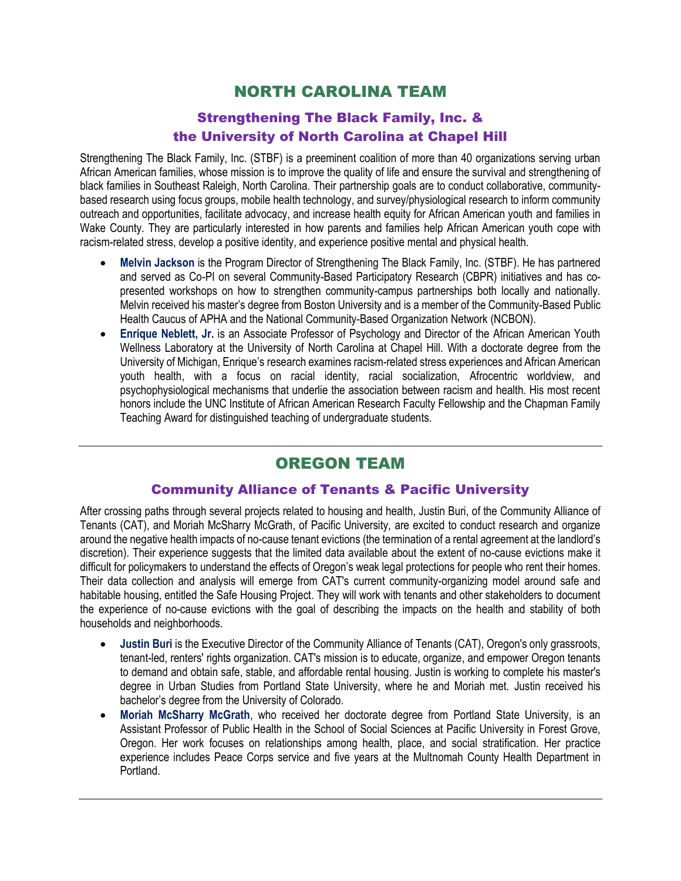## NORTH CAROLINA TEAM

### Strengthening The Black Family, Inc. & the University of North Carolina at Chapel Hill

Strengthening The Black Family, Inc. (STBF) is a preeminent coalition of more than 40 organizations serving urban African American families, whose mission is to improve the quality of life and ensure the survival and strengthening of black families in Southeast Raleigh, North Carolina. Their partnership goals are to conduct collaborative, communitybased research using focus groups, mobile health technology, and survey/physiological research to inform community outreach and opportunities, facilitate advocacy, and increase health equity for African American youth and families in Wake County. They are particularly interested in how parents and families help African American youth cope with racism-related stress, develop a positive identity, and experience positive mental and physical health.

- **Melvin Jackson** is the Program Director of Strengthening The Black Family, Inc. (STBF). He has partnered and served as Co-PI on several Community-Based Participatory Research (CBPR) initiatives and has copresented workshops on how to strengthen community-campus partnerships both locally and nationally. Melvin received his master's degree from Boston University and is a member of the Community-Based Public Health Caucus of APHA and the National Community-Based Organization Network (NCBON).
- **Enrique Neblett, Jr.** is an Associate Professor of Psychology and Director of the African American Youth Wellness Laboratory at the University of North Carolina at Chapel Hill. With a doctorate degree from the University of Michigan, Enrique's research examines racism-related stress experiences and African American youth health, with a focus on racial identity, racial socialization, Afrocentric worldview, and psychophysiological mechanisms that underlie the association between racism and health. His most recent honors include the UNC Institute of African American Research Faculty Fellowship and the Chapman Family Teaching Award for distinguished teaching of undergraduate students.

# OREGON TEAM

### Community Alliance of Tenants & Pacific University

After crossing paths through several projects related to housing and health, Justin Buri, of the Community Alliance of Tenants (CAT), and Moriah McSharry McGrath, of Pacific University, are excited to conduct research and organize around the negative health impacts of no-cause tenant evictions (the termination of a rental agreement at the landlord's discretion). Their experience suggests that the limited data available about the extent of no-cause evictions make it difficult for policymakers to understand the effects of Oregon's weak legal protections for people who rent their homes. Their data collection and analysis will emerge from CAT's current community-organizing model around safe and habitable housing, entitled the Safe Housing Project. They will work with tenants and other stakeholders to document the experience of no-cause evictions with the goal of describing the impacts on the health and stability of both households and neighborhoods.

- **Justin Buri** is the Executive Director of the Community Alliance of Tenants (CAT), Oregon's only grassroots, tenant-led, renters' rights organization. CAT's mission is to educate, organize, and empower Oregon tenants to demand and obtain safe, stable, and affordable rental housing. Justin is working to complete his master's degree in Urban Studies from Portland State University, where he and Moriah met. Justin received his bachelor's degree from the University of Colorado.
- **Moriah McSharry McGrath**, who received her doctorate degree from Portland State University, is an Assistant Professor of Public Health in the School of Social Sciences at Pacific University in Forest Grove, Oregon. Her work focuses on relationships among health, place, and social stratification. Her practice experience includes Peace Corps service and five years at the Multnomah County Health Department in Portland.